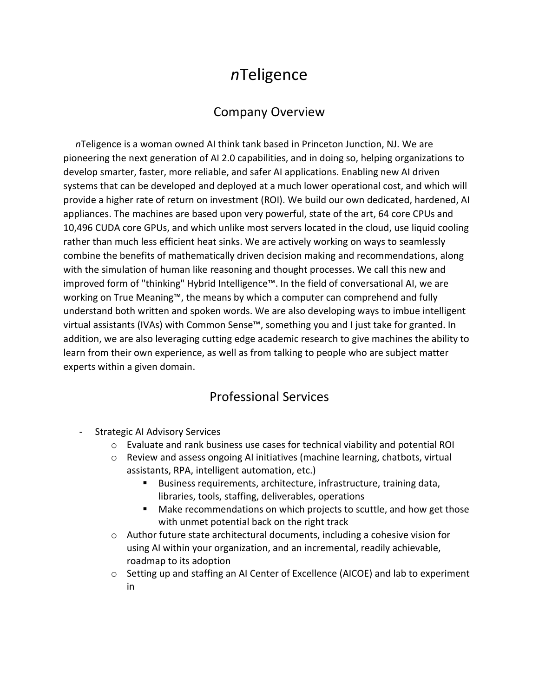## *n*Teligence

## Company Overview

 *n*Teligence is a woman owned AI think tank based in Princeton Junction, NJ. We are pioneering the next generation of AI 2.0 capabilities, and in doing so, helping organizations to develop smarter, faster, more reliable, and safer AI applications. Enabling new AI driven systems that can be developed and deployed at a much lower operational cost, and which will provide a higher rate of return on investment (ROI). We build our own dedicated, hardened, AI appliances. The machines are based upon very powerful, state of the art, 64 core CPUs and 10,496 CUDA core GPUs, and which unlike most servers located in the cloud, use liquid cooling rather than much less efficient heat sinks. We are actively working on ways to seamlessly combine the benefits of mathematically driven decision making and recommendations, along with the simulation of human like reasoning and thought processes. We call this new and improved form of "thinking" Hybrid Intelligence™. In the field of conversational AI, we are working on True Meaning™, the means by which a computer can comprehend and fully understand both written and spoken words. We are also developing ways to imbue intelligent virtual assistants (IVAs) with Common Sense™, something you and I just take for granted. In addition, we are also leveraging cutting edge academic research to give machines the ability to learn from their own experience, as well as from talking to people who are subject matter experts within a given domain.

## Professional Services

- Strategic AI Advisory Services
	- o Evaluate and rank business use cases for technical viability and potential ROI
	- $\circ$  Review and assess ongoing AI initiatives (machine learning, chatbots, virtual assistants, RPA, intelligent automation, etc.)
		- Business requirements, architecture, infrastructure, training data, libraries, tools, staffing, deliverables, operations
		- Make recommendations on which projects to scuttle, and how get those with unmet potential back on the right track
	- $\circ$  Author future state architectural documents, including a cohesive vision for using AI within your organization, and an incremental, readily achievable, roadmap to its adoption
	- o Setting up and staffing an AI Center of Excellence (AICOE) and lab to experiment in